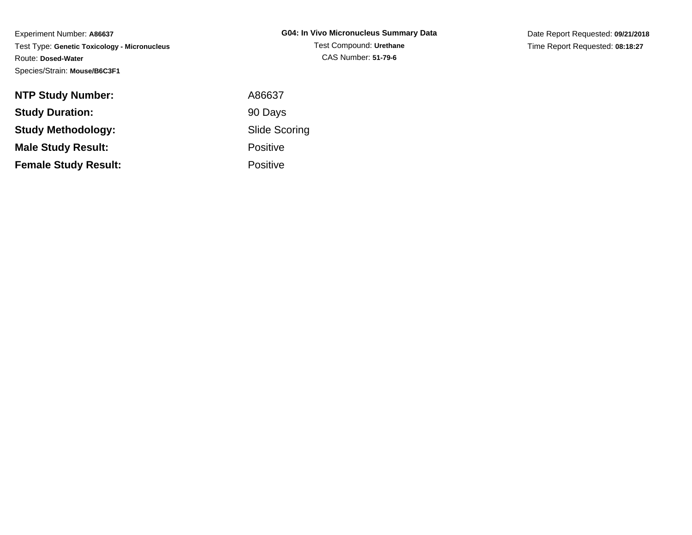Experiment Number: **A86637** Test Type: **Genetic Toxicology - Micronucleus**Route: **Dosed-Water**Species/Strain: **Mouse/B6C3F1**

| <b>NTP Study Number:</b>    | A86637               |
|-----------------------------|----------------------|
| <b>Study Duration:</b>      | 90 Days              |
| <b>Study Methodology:</b>   | <b>Slide Scoring</b> |
| <b>Male Study Result:</b>   | <b>Positive</b>      |
| <b>Female Study Result:</b> | <b>Positive</b>      |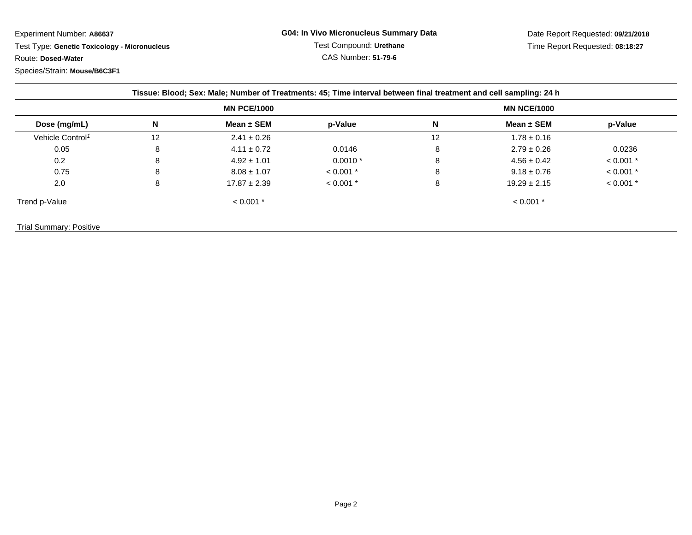Test Type: **Genetic Toxicology - Micronucleus**Route: **Dosed-Water**

| <b>MN PCE/1000</b>           |    |                  | <b>MN NCE/1000</b> |    |                  |             |
|------------------------------|----|------------------|--------------------|----|------------------|-------------|
| Dose (mg/mL)                 | N  | Mean $\pm$ SEM   | p-Value            | N  | Mean $\pm$ SEM   | p-Value     |
| Vehicle Control <sup>1</sup> | 12 | $2.41 \pm 0.26$  |                    | 12 | $1.78 \pm 0.16$  |             |
| 0.05                         | 8  | $4.11 \pm 0.72$  | 0.0146             | 8  | $2.79 \pm 0.26$  | 0.0236      |
| 0.2                          | 8  | $4.92 \pm 1.01$  | $0.0010*$          | 8  | $4.56 \pm 0.42$  | $< 0.001$ * |
| 0.75                         | 8  | $8.08 \pm 1.07$  | $< 0.001$ *        | 8  | $9.18 \pm 0.76$  | $< 0.001$ * |
| 2.0                          | 8  | $17.87 \pm 2.39$ | $< 0.001$ *        | 8  | $19.29 \pm 2.15$ | $< 0.001$ * |
| Trend p-Value                |    | $< 0.001$ *      |                    |    | $< 0.001$ *      |             |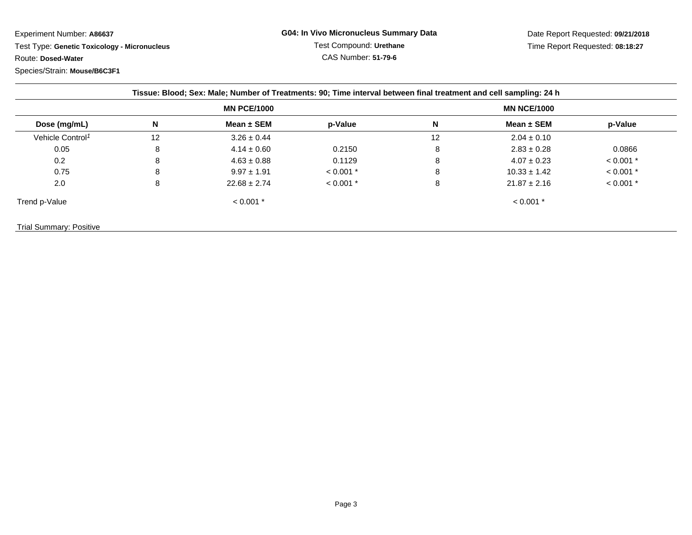Test Type: **Genetic Toxicology - Micronucleus**Route: **Dosed-Water**

| <b>MN PCE/1000</b>           |    |                  |             |    |                  |             |
|------------------------------|----|------------------|-------------|----|------------------|-------------|
| Dose (mg/mL)                 | N  | Mean $\pm$ SEM   | p-Value     | N  | Mean $\pm$ SEM   | p-Value     |
| Vehicle Control <sup>1</sup> | 12 | $3.26 \pm 0.44$  |             | 12 | $2.04 \pm 0.10$  |             |
| 0.05                         | 8  | $4.14 \pm 0.60$  | 0.2150      | 8  | $2.83 \pm 0.28$  | 0.0866      |
| 0.2                          | 8  | $4.63 \pm 0.88$  | 0.1129      | 8  | $4.07 \pm 0.23$  | $< 0.001$ * |
| 0.75                         | 8  | $9.97 \pm 1.91$  | $< 0.001$ * | 8  | $10.33 \pm 1.42$ | $< 0.001$ * |
| 2.0                          | 8  | $22.68 \pm 2.74$ | $< 0.001$ * | 8  | $21.87 \pm 2.16$ | $< 0.001$ * |
| Trend p-Value                |    | $< 0.001$ *      |             |    | $< 0.001$ *      |             |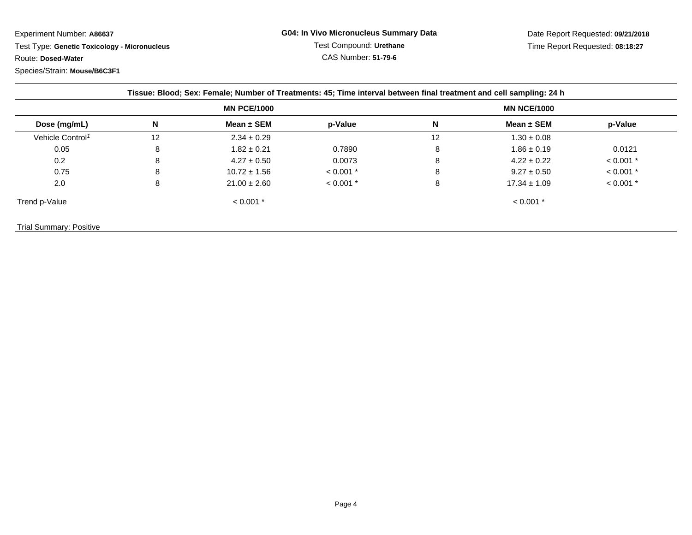Test Type: **Genetic Toxicology - Micronucleus**Route: **Dosed-Water**

| <b>MN PCE/1000</b>           |    |                  |             |    |                  |             |
|------------------------------|----|------------------|-------------|----|------------------|-------------|
| Dose (mg/mL)                 | N  | Mean $\pm$ SEM   | p-Value     | N  | Mean $\pm$ SEM   | p-Value     |
| Vehicle Control <sup>1</sup> | 12 | $2.34 \pm 0.29$  |             | 12 | $1.30 \pm 0.08$  |             |
| 0.05                         | 8  | $1.82 \pm 0.21$  | 0.7890      | 8  | $1.86 \pm 0.19$  | 0.0121      |
| 0.2                          | 8  | $4.27 \pm 0.50$  | 0.0073      | 8  | $4.22 \pm 0.22$  | $< 0.001$ * |
| 0.75                         | 8  | $10.72 \pm 1.56$ | $< 0.001$ * | 8  | $9.27 \pm 0.50$  | $< 0.001$ * |
| 2.0                          | 8  | $21.00 \pm 2.60$ | $< 0.001$ * | 8  | $17.34 \pm 1.09$ | $< 0.001$ * |
| Trend p-Value                |    | $< 0.001$ *      |             |    | $< 0.001$ *      |             |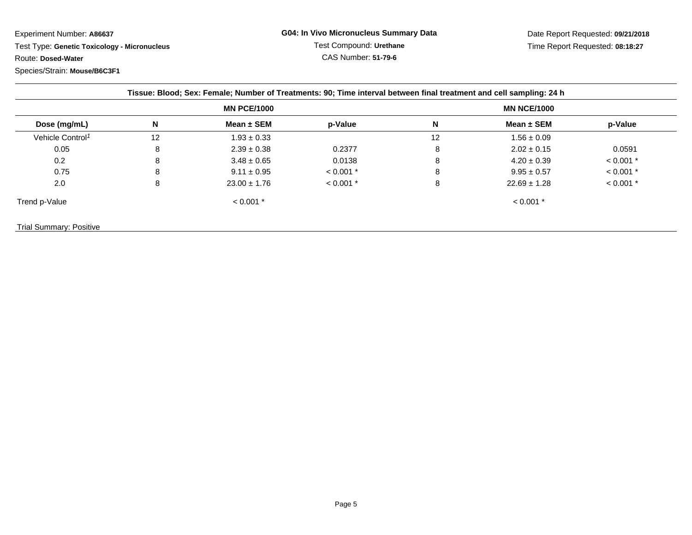Test Type: **Genetic Toxicology - Micronucleus**Route: **Dosed-Water**

|                              |    | <b>MN PCE/1000</b> |             |    | <b>MN NCE/1000</b> |             |
|------------------------------|----|--------------------|-------------|----|--------------------|-------------|
| Dose (mg/mL)                 | N  | Mean $\pm$ SEM     | p-Value     | N  | Mean $\pm$ SEM     | p-Value     |
| Vehicle Control <sup>1</sup> | 12 | $1.93 \pm 0.33$    |             | 12 | $1.56 \pm 0.09$    |             |
| 0.05                         | 8  | $2.39 \pm 0.38$    | 0.2377      | 8  | $2.02 \pm 0.15$    | 0.0591      |
| 0.2                          | 8  | $3.48 \pm 0.65$    | 0.0138      | 8  | $4.20 \pm 0.39$    | $< 0.001$ * |
| 0.75                         | 8  | $9.11 \pm 0.95$    | $< 0.001$ * | 8  | $9.95 \pm 0.57$    | $< 0.001$ * |
| 2.0                          | 8  | $23.00 \pm 1.76$   | $< 0.001$ * | 8  | $22.69 \pm 1.28$   | $< 0.001$ * |
| Trend p-Value                |    | $< 0.001$ *        |             |    | $< 0.001$ *        |             |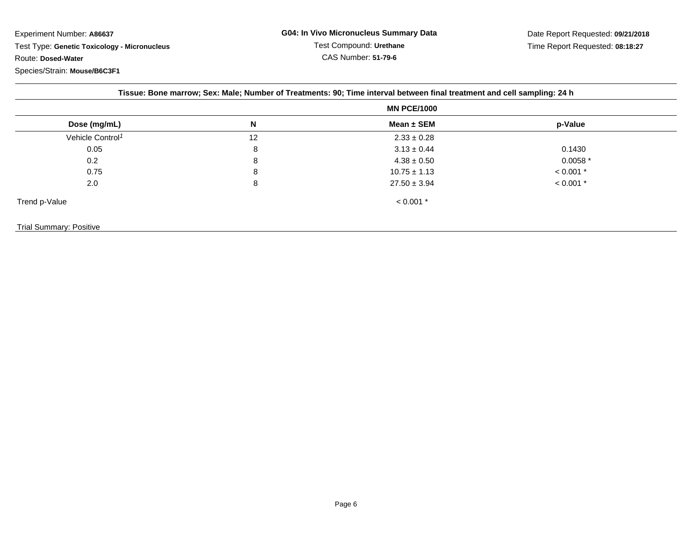Experiment Number: **A86637** Test Type: **Genetic Toxicology - Micronucleus**Route: **Dosed-Water**Species/Strain: **Mouse/B6C3F1**

|                              |    | <b>MN PCE/1000</b> |             |
|------------------------------|----|--------------------|-------------|
| Dose (mg/mL)                 | N  | Mean $\pm$ SEM     | p-Value     |
| Vehicle Control <sup>1</sup> | 12 | $2.33 \pm 0.28$    |             |
| 0.05                         | 8  | $3.13 \pm 0.44$    | 0.1430      |
| 0.2                          | 8  | $4.38 \pm 0.50$    | $0.0058*$   |
| 0.75                         | 8  | $10.75 \pm 1.13$   | $< 0.001$ * |
| 2.0                          | 8  | $27.50 \pm 3.94$   | $< 0.001$ * |
| Trend p-Value                |    | $< 0.001$ *        |             |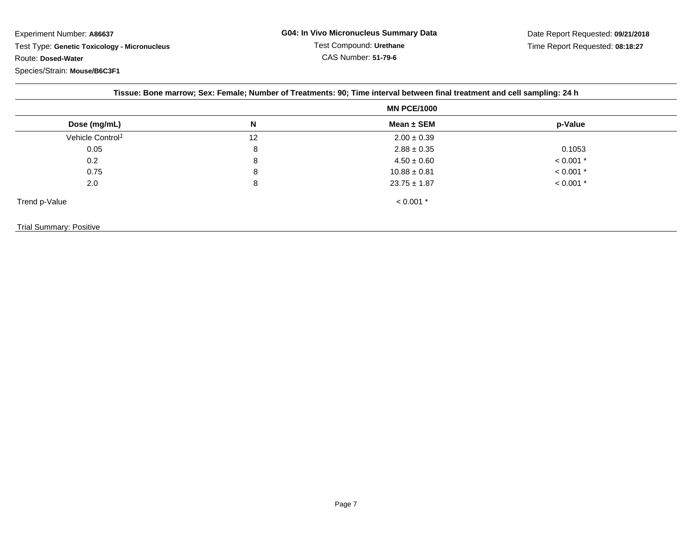Test Type: **Genetic Toxicology - Micronucleus**Route: **Dosed-Water**

|                                |    | Tissue: Bone marrow; Sex: Female; Number of Treatments: 90; Time interval between final treatment and cell sampling: 24 h<br><b>MN PCE/1000</b> |             |  |
|--------------------------------|----|-------------------------------------------------------------------------------------------------------------------------------------------------|-------------|--|
| Dose (mg/mL)                   | Ν  | Mean $\pm$ SEM                                                                                                                                  | p-Value     |  |
| Vehicle Control <sup>1</sup>   | 12 | $2.00 \pm 0.39$                                                                                                                                 |             |  |
| 0.05                           | 8  | $2.88 \pm 0.35$                                                                                                                                 | 0.1053      |  |
| 0.2                            | 8  | $4.50 \pm 0.60$                                                                                                                                 | $< 0.001$ * |  |
| 0.75                           | 8  | $10.88 \pm 0.81$                                                                                                                                | $< 0.001$ * |  |
| 2.0                            | 8  | $23.75 \pm 1.87$                                                                                                                                | $< 0.001$ * |  |
| Trend p-Value                  |    | $< 0.001$ *                                                                                                                                     |             |  |
| <b>Trial Summary: Positive</b> |    |                                                                                                                                                 |             |  |